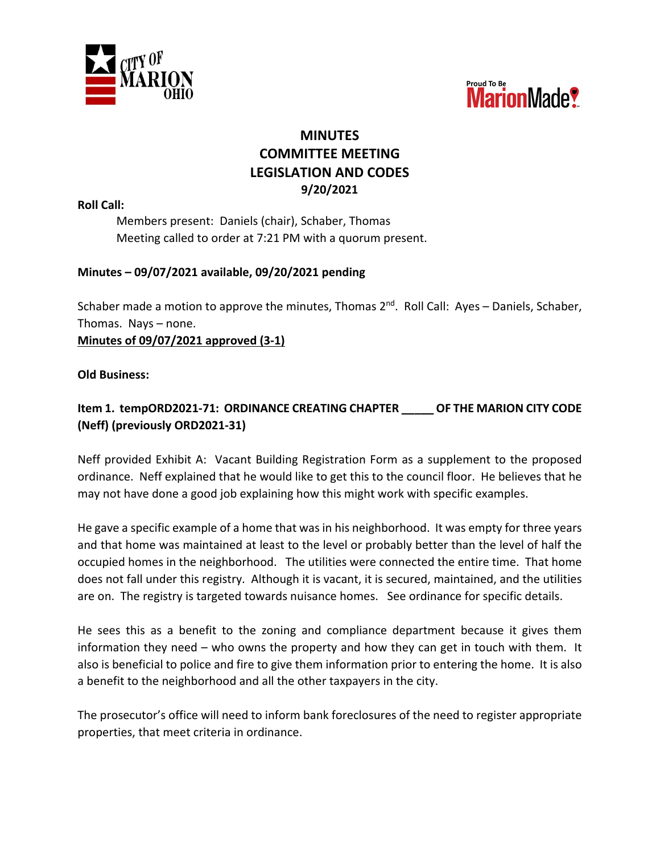



## **MINUTES COMMITTEE MEETING LEGISLATION AND CODES 9/20/2021**

**Roll Call:**

Members present: Daniels (chair), Schaber, Thomas Meeting called to order at 7:21 PM with a quorum present.

## **Minutes – 09/07/2021 available, 09/20/2021 pending**

Schaber made a motion to approve the minutes, Thomas  $2^{nd}$ . Roll Call: Ayes – Daniels, Schaber, Thomas. Nays – none. **Minutes of 09/07/2021 approved (3-1)**

## **Old Business:**

**Item 1. tempORD2021-71: ORDINANCE CREATING CHAPTER \_\_\_\_\_ OF THE MARION CITY CODE (Neff) (previously ORD2021-31)**

Neff provided Exhibit A: Vacant Building Registration Form as a supplement to the proposed ordinance. Neff explained that he would like to get this to the council floor. He believes that he may not have done a good job explaining how this might work with specific examples.

He gave a specific example of a home that was in his neighborhood. It was empty for three years and that home was maintained at least to the level or probably better than the level of half the occupied homes in the neighborhood. The utilities were connected the entire time. That home does not fall under this registry. Although it is vacant, it is secured, maintained, and the utilities are on. The registry is targeted towards nuisance homes. See ordinance for specific details.

He sees this as a benefit to the zoning and compliance department because it gives them information they need – who owns the property and how they can get in touch with them. It also is beneficial to police and fire to give them information prior to entering the home. It is also a benefit to the neighborhood and all the other taxpayers in the city.

The prosecutor's office will need to inform bank foreclosures of the need to register appropriate properties, that meet criteria in ordinance.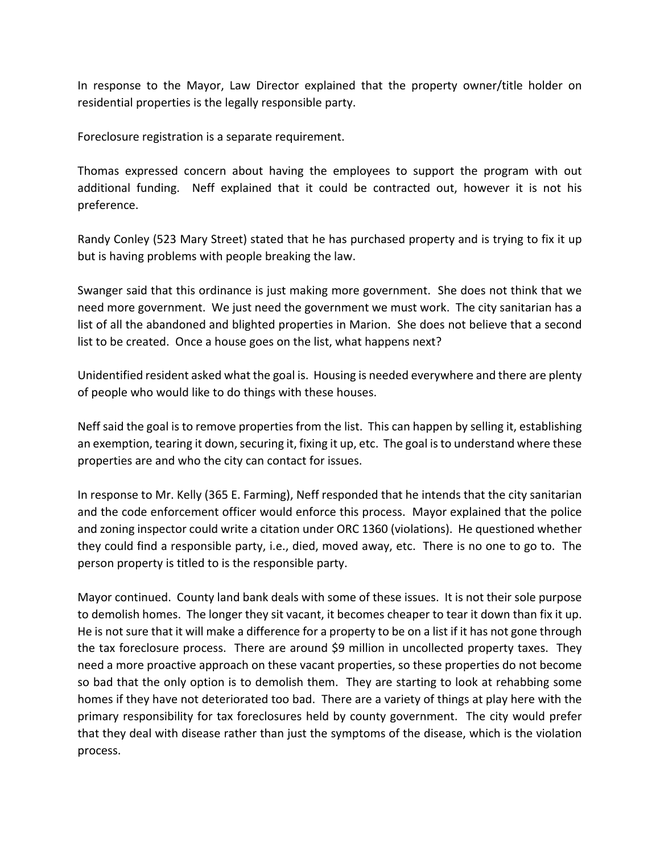In response to the Mayor, Law Director explained that the property owner/title holder on residential properties is the legally responsible party.

Foreclosure registration is a separate requirement.

Thomas expressed concern about having the employees to support the program with out additional funding. Neff explained that it could be contracted out, however it is not his preference.

Randy Conley (523 Mary Street) stated that he has purchased property and is trying to fix it up but is having problems with people breaking the law.

Swanger said that this ordinance is just making more government. She does not think that we need more government. We just need the government we must work. The city sanitarian has a list of all the abandoned and blighted properties in Marion. She does not believe that a second list to be created. Once a house goes on the list, what happens next?

Unidentified resident asked what the goal is. Housing is needed everywhere and there are plenty of people who would like to do things with these houses.

Neff said the goal is to remove properties from the list. This can happen by selling it, establishing an exemption, tearing it down, securing it, fixing it up, etc. The goal is to understand where these properties are and who the city can contact for issues.

In response to Mr. Kelly (365 E. Farming), Neff responded that he intends that the city sanitarian and the code enforcement officer would enforce this process. Mayor explained that the police and zoning inspector could write a citation under ORC 1360 (violations). He questioned whether they could find a responsible party, i.e., died, moved away, etc. There is no one to go to. The person property is titled to is the responsible party.

Mayor continued. County land bank deals with some of these issues. It is not their sole purpose to demolish homes. The longer they sit vacant, it becomes cheaper to tear it down than fix it up. He is not sure that it will make a difference for a property to be on a list if it has not gone through the tax foreclosure process. There are around \$9 million in uncollected property taxes. They need a more proactive approach on these vacant properties, so these properties do not become so bad that the only option is to demolish them. They are starting to look at rehabbing some homes if they have not deteriorated too bad. There are a variety of things at play here with the primary responsibility for tax foreclosures held by county government. The city would prefer that they deal with disease rather than just the symptoms of the disease, which is the violation process.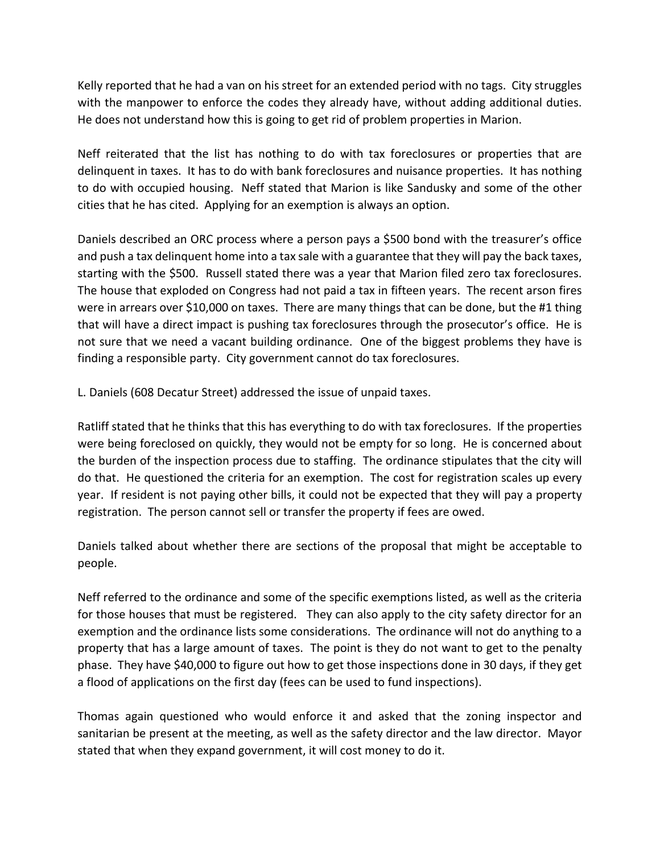Kelly reported that he had a van on his street for an extended period with no tags. City struggles with the manpower to enforce the codes they already have, without adding additional duties. He does not understand how this is going to get rid of problem properties in Marion.

Neff reiterated that the list has nothing to do with tax foreclosures or properties that are delinquent in taxes. It has to do with bank foreclosures and nuisance properties. It has nothing to do with occupied housing. Neff stated that Marion is like Sandusky and some of the other cities that he has cited. Applying for an exemption is always an option.

Daniels described an ORC process where a person pays a \$500 bond with the treasurer's office and push a tax delinquent home into a tax sale with a guarantee that they will pay the back taxes, starting with the \$500. Russell stated there was a year that Marion filed zero tax foreclosures. The house that exploded on Congress had not paid a tax in fifteen years. The recent arson fires were in arrears over \$10,000 on taxes. There are many things that can be done, but the #1 thing that will have a direct impact is pushing tax foreclosures through the prosecutor's office. He is not sure that we need a vacant building ordinance. One of the biggest problems they have is finding a responsible party. City government cannot do tax foreclosures.

L. Daniels (608 Decatur Street) addressed the issue of unpaid taxes.

Ratliff stated that he thinks that this has everything to do with tax foreclosures. If the properties were being foreclosed on quickly, they would not be empty for so long. He is concerned about the burden of the inspection process due to staffing. The ordinance stipulates that the city will do that. He questioned the criteria for an exemption. The cost for registration scales up every year. If resident is not paying other bills, it could not be expected that they will pay a property registration. The person cannot sell or transfer the property if fees are owed.

Daniels talked about whether there are sections of the proposal that might be acceptable to people.

Neff referred to the ordinance and some of the specific exemptions listed, as well as the criteria for those houses that must be registered. They can also apply to the city safety director for an exemption and the ordinance lists some considerations. The ordinance will not do anything to a property that has a large amount of taxes. The point is they do not want to get to the penalty phase. They have \$40,000 to figure out how to get those inspections done in 30 days, if they get a flood of applications on the first day (fees can be used to fund inspections).

Thomas again questioned who would enforce it and asked that the zoning inspector and sanitarian be present at the meeting, as well as the safety director and the law director. Mayor stated that when they expand government, it will cost money to do it.